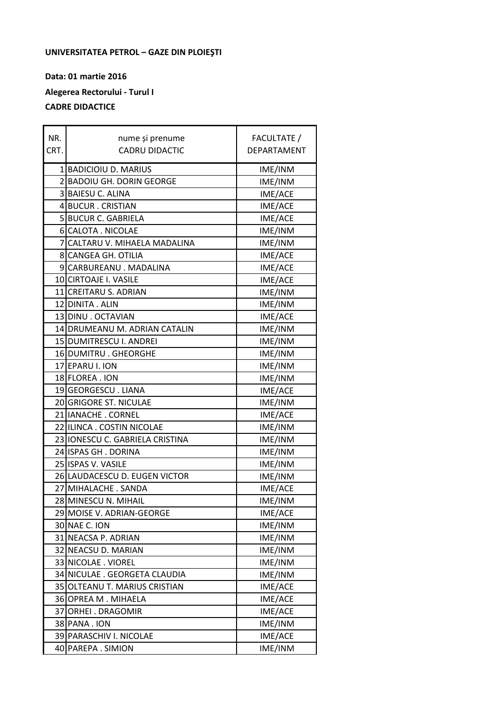## **UNIVERSITATEA PETROL – GAZE DIN PLOIEŞTI**

**Data: 01 martie 2016 Alegerea Rectorului - Turul I CADRE DIDACTICE**

| NR.  | nume și prenume                 | FACULTATE / |
|------|---------------------------------|-------------|
| CRT. | <b>CADRU DIDACTIC</b>           | DEPARTAMENT |
|      | 1 BADICIOIU D. MARIUS           | IME/INM     |
|      | 2 BADOIU GH. DORIN GEORGE       | IME/INM     |
|      | 3 BAIESU C. ALINA               | IME/ACE     |
|      | 4 BUCUR . CRISTIAN              | IME/ACE     |
|      | 5 BUCUR C. GABRIELA             | IME/ACE     |
|      | 6 CALOTA . NICOLAE              | IME/INM     |
|      | 7 CALTARU V. MIHAELA MADALINA   | IME/INM     |
|      | 8 CANGEA GH. OTILIA             | IME/ACE     |
|      | 9 CARBUREANU . MADALINA         | IME/ACE     |
|      | 10 CIRTOAJE I. VASILE           | IME/ACE     |
|      | 11 CREITARU S. ADRIAN           | IME/INM     |
|      | 12 DINITA . ALIN                | IME/INM     |
|      | 13 DINU . OCTAVIAN              | IME/ACE     |
|      | 14 DRUMEANU M. ADRIAN CATALIN   | IME/INM     |
|      | 15 DUMITRESCU I. ANDREI         | IME/INM     |
|      | 16 DUMITRU . GHEORGHE           | IME/INM     |
|      | 17 EPARU I. ION                 | IME/INM     |
|      | 18 FLOREA . ION                 | IME/INM     |
|      | 19 GEORGESCU. LIANA             | IME/ACE     |
|      | 20 GRIGORE ST. NICULAE          | IME/INM     |
|      | 21 IANACHE . CORNEL             | IME/ACE     |
|      | 22 ILINCA . COSTIN NICOLAE      | IME/INM     |
|      | 23 IONESCU C. GABRIELA CRISTINA | IME/INM     |
|      | 24 ISPAS GH . DORINA            | IME/INM     |
|      | 25 ISPAS V. VASILE              | IME/INM     |
|      | 26 LAUDACESCU D. EUGEN VICTOR   | IME/INM     |
|      | 27 MIHALACHE . SANDA            | IME/ACE     |
|      | 28 MINESCU N. MIHAIL            | IME/INM     |
|      | 29 MOISE V. ADRIAN-GEORGE       | IME/ACE     |
|      | 30 NAE C. ION                   | IME/INM     |
|      | 31 NEACSA P. ADRIAN             | IME/INM     |
|      | 32 NEACSU D. MARIAN             | IME/INM     |
|      | 33 NICOLAE . VIOREL             | IME/INM     |
|      | 34 NICULAE. GEORGETA CLAUDIA    | IME/INM     |
|      | 35 OLTEANU T. MARIUS CRISTIAN   | IME/ACE     |
|      | 36OPREA M. MIHAELA              | IME/ACE     |
|      | 37 ORHEI . DRAGOMIR             | IME/ACE     |
|      | 38 PANA . ION                   | IME/INM     |
|      | 39 PARASCHIV I. NICOLAE         | IME/ACE     |
|      | 40 PAREPA . SIMION              | IME/INM     |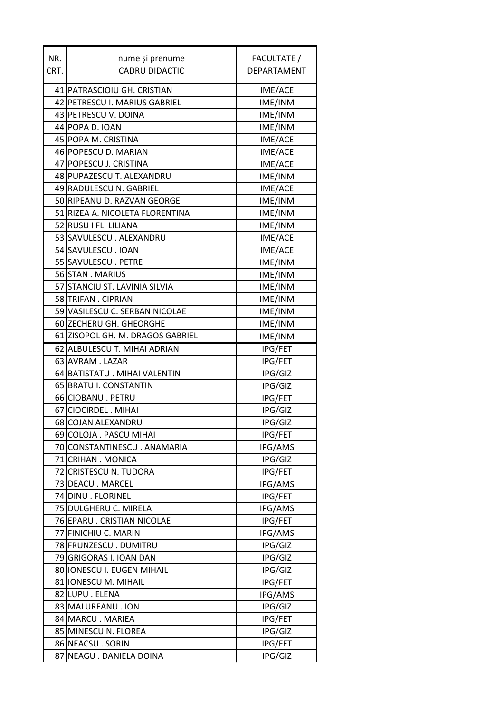| NR.  | nume și prenume                  | FACULTATE /    |
|------|----------------------------------|----------------|
| CRT. | <b>CADRU DIDACTIC</b>            | DEPARTAMENT    |
|      |                                  |                |
|      | 41 PATRASCIOIU GH. CRISTIAN      | IME/ACE        |
|      | 42 PETRESCU I. MARIUS GABRIEL    | IME/INM        |
|      | 43 PETRESCU V. DOINA             | IME/INM        |
|      | 44 POPA D. IOAN                  | IME/INM        |
|      | 45 POPA M. CRISTINA              | IME/ACE        |
|      | 46 POPESCU D. MARIAN             | IME/ACE        |
|      | 47 POPESCU J. CRISTINA           | IME/ACE        |
|      | 48 PUPAZESCU T. ALEXANDRU        | IME/INM        |
|      | 49 RADULESCU N. GABRIEL          | IME/ACE        |
|      | 50 RIPEANU D. RAZVAN GEORGE      | IME/INM        |
|      | 51 RIZEA A. NICOLETA FLORENTINA  | IME/INM        |
|      | 52 RUSU I FL. LILIANA            | IME/INM        |
|      | 53 SAVULESCU. ALEXANDRU          | IME/ACE        |
|      | 54 SAVULESCU. IOAN               | IME/ACE        |
|      | 55 SAVULESCU. PETRE              | IME/INM        |
|      | 56 STAN . MARIUS                 | IME/INM        |
|      | 57 STANCIU ST. LAVINIA SILVIA    | IME/INM        |
|      | 58 TRIFAN. CIPRIAN               | IME/INM        |
|      | 59 VASILESCU C. SERBAN NICOLAE   | IME/INM        |
|      | 60 ZECHERU GH. GHEORGHE          | IME/INM        |
|      | 61 ZISOPOL GH. M. DRAGOS GABRIEL | IME/INM        |
|      | 62 ALBULESCU T. MIHAI ADRIAN     | <b>IPG/FET</b> |
|      | 63 AVRAM. LAZAR                  | <b>IPG/FET</b> |
|      | 64 BATISTATU . MIHAI VALENTIN    | IPG/GIZ        |
|      | 65 BRATU I. CONSTANTIN           | IPG/GIZ        |
|      | 66 CIOBANU . PETRU               | <b>IPG/FET</b> |
|      | 67 CIOCIRDEL . MIHAI             | IPG/GIZ        |
|      | 68 COJAN ALEXANDRU               | IPG/GIZ        |
|      | 69 COLOJA . PASCU MIHAI          | IPG/FET        |
|      | 70 CONSTANTINESCU. ANAMARIA      | IPG/AMS        |
|      | 71 CRIHAN . MONICA               | IPG/GIZ        |
|      | 72 CRISTESCU N. TUDORA           | IPG/FET        |
|      | 73 DEACU . MARCEL                | IPG/AMS        |
|      | 74 DINU . FLORINEL               | <b>IPG/FET</b> |
|      | 75 DULGHERU C. MIRELA            | IPG/AMS        |
|      | 76 EPARU . CRISTIAN NICOLAE      | <b>IPG/FET</b> |
|      | 77 FINICHIU C. MARIN             | IPG/AMS        |
|      | 78 FRUNZESCU. DUMITRU            | IPG/GIZ        |
|      | 79 GRIGORAS I. IOAN DAN          | IPG/GIZ        |
|      | 80 IONESCU I. EUGEN MIHAIL       | IPG/GIZ        |
|      | 81 IONESCU M. MIHAIL             | IPG/FET        |
|      | 82 LUPU . ELENA                  | IPG/AMS        |
|      | 83 MALUREANU . ION               | IPG/GIZ        |
|      | 84 MARCU. MARIEA                 | <b>IPG/FET</b> |
|      | 85 MINESCU N. FLOREA             | IPG/GIZ        |
|      | 86 NEACSU . SORIN                | IPG/FET        |
|      | 87 NEAGU . DANIELA DOINA         | IPG/GIZ        |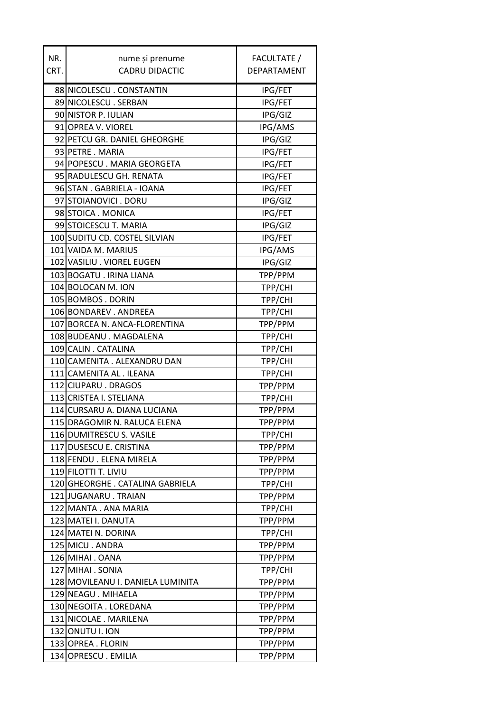| NR.  | nume și prenume                   | FACULTATE /    |
|------|-----------------------------------|----------------|
| CRT. | <b>CADRU DIDACTIC</b>             | DEPARTAMENT    |
|      |                                   |                |
|      | 88 NICOLESCU. CONSTANTIN          | IPG/FET        |
|      | 89 NICOLESCU. SERBAN              | <b>IPG/FET</b> |
|      | 90 NISTOR P. IULIAN               | IPG/GIZ        |
|      | 91 OPREA V. VIOREL                | IPG/AMS        |
|      | 92 PETCU GR. DANIEL GHEORGHE      | IPG/GIZ        |
|      | 93 PETRE . MARIA                  | <b>IPG/FET</b> |
|      | 94 POPESCU. MARIA GEORGETA        | <b>IPG/FET</b> |
|      | 95 RADULESCU GH. RENATA           | <b>IPG/FET</b> |
|      | 96 STAN . GABRIELA - IOANA        | <b>IPG/FET</b> |
|      | 97 STOIANOVICI . DORU             | IPG/GIZ        |
|      | 98 STOICA . MONICA                | <b>IPG/FET</b> |
|      | 99 STOICESCU T. MARIA             | IPG/GIZ        |
|      | 100 SUDITU CD. COSTEL SILVIAN     | <b>IPG/FET</b> |
|      | 101 VAIDA M. MARIUS               | IPG/AMS        |
|      | 102 VASILIU . VIOREL EUGEN        | IPG/GIZ        |
|      | 103 BOGATU . IRINA LIANA          | TPP/PPM        |
|      | 104 BOLOCAN M. ION                | TPP/CHI        |
|      | 105 BOMBOS . DORIN                | TPP/CHI        |
|      | 106 BONDAREV . ANDREEA            | TPP/CHI        |
|      | 107 BORCEA N. ANCA-FLORENTINA     | TPP/PPM        |
|      | 108 BUDEANU . MAGDALENA           | TPP/CHI        |
|      | 109 CALIN . CATALINA              | TPP/CHI        |
|      | 110 CAMENITA . ALEXANDRU DAN      | TPP/CHI        |
|      | 111 CAMENITA AL . ILEANA          | TPP/CHI        |
|      | 112 CIUPARU . DRAGOS              | TPP/PPM        |
|      | 113 CRISTEA I. STELIANA           | TPP/CHI        |
|      | 114 CURSARU A. DIANA LUCIANA      | TPP/PPM        |
|      | 115 DRAGOMIR N. RALUCA ELENA      | TPP/PPM        |
|      | 116 DUMITRESCU S. VASILE          | TPP/CHI        |
|      | 117 DUSESCU E. CRISTINA           | TPP/PPM        |
|      | 118 FENDU . ELENA MIRELA          | TPP/PPM        |
|      | 119 FILOTTI T. LIVIU              | TPP/PPM        |
|      | 120 GHEORGHE. CATALINA GABRIELA   | TPP/CHI        |
|      | 121 JUGANARU . TRAIAN             | TPP/PPM        |
|      | 122 MANTA . ANA MARIA             | TPP/CHI        |
|      | 123 MATEI I. DANUTA               | TPP/PPM        |
|      | 124 MATEI N. DORINA               | TPP/CHI        |
|      | 125 MICU . ANDRA                  | TPP/PPM        |
|      | 126 MIHAI . OANA                  | TPP/PPM        |
|      | 127 MIHAI . SONIA                 | TPP/CHI        |
|      | 128 MOVILEANU I. DANIELA LUMINITA | TPP/PPM        |
|      | 129 NEAGU . MIHAELA               | TPP/PPM        |
|      | 130 NEGOITA . LOREDANA            | TPP/PPM        |
|      | 131 NICOLAE . MARILENA            | TPP/PPM        |
|      | 132 ONUTU I. ION                  | TPP/PPM        |
|      | 133 OPREA . FLORIN                | TPP/PPM        |
|      | 134 OPRESCU. EMILIA               | TPP/PPM        |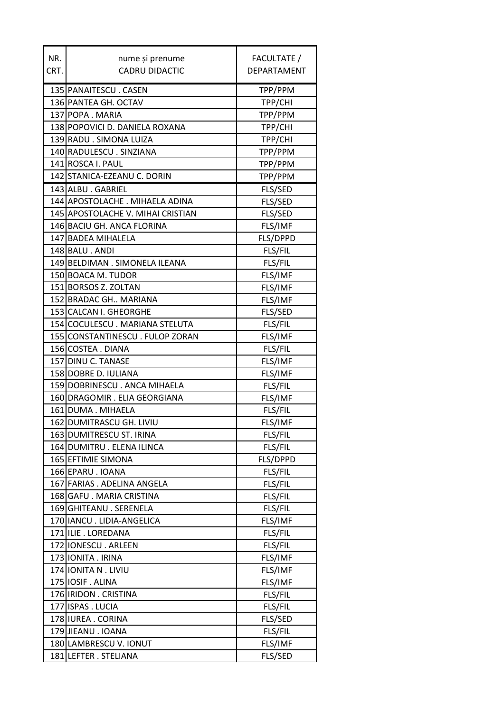| NR.  | nume și prenume                   | FACULTATE / |
|------|-----------------------------------|-------------|
| CRT. | <b>CADRU DIDACTIC</b>             | DEPARTAMENT |
|      | 135 PANAITESCU. CASEN             | TPP/PPM     |
|      | 136 PANTEA GH. OCTAV              | TPP/CHI     |
|      | 137 POPA . MARIA                  | TPP/PPM     |
|      | 138 POPOVICI D. DANIELA ROXANA    | TPP/CHI     |
|      | 139 RADU . SIMONA LUIZA           | TPP/CHI     |
|      | 140 RADULESCU. SINZIANA           |             |
|      | 141 ROSCA I. PAUL                 | TPP/PPM     |
|      | 142 STANICA-EZEANU C. DORIN       | TPP/PPM     |
|      |                                   | TPP/PPM     |
|      | 143 ALBU . GABRIEL                | FLS/SED     |
|      | 144 APOSTOLACHE . MIHAELA ADINA   | FLS/SED     |
|      | 145 APOSTOLACHE V. MIHAI CRISTIAN | FLS/SED     |
|      | 146 BACIU GH. ANCA FLORINA        | FLS/IMF     |
|      | 147 BADEA MIHALELA                | FLS/DPPD    |
|      | 148 BALU . ANDI                   | FLS/FIL     |
|      | 149 BELDIMAN . SIMONELA ILEANA    | FLS/FIL     |
|      | 150 BOACA M. TUDOR                | FLS/IMF     |
|      | 151 BORSOS Z. ZOLTAN              | FLS/IMF     |
|      | 152 BRADAC GH MARIANA             | FLS/IMF     |
|      | 153 CALCAN I. GHEORGHE            | FLS/SED     |
|      | 154 COCULESCU. MARIANA STELUTA    | FLS/FIL     |
|      | 155 CONSTANTINESCU. FULOP ZORAN   | FLS/IMF     |
|      | 156 COSTEA . DIANA                | FLS/FIL     |
|      | 157 DINU C. TANASE                | FLS/IMF     |
|      | 158 DOBRE D. IULIANA              | FLS/IMF     |
|      | 159 DOBRINESCU. ANCA MIHAELA      | FLS/FIL     |
|      | 160 DRAGOMIR . ELIA GEORGIANA     | FLS/IMF     |
|      | 161 DUMA . MIHAELA                | FLS/FIL     |
|      | 162 DUMITRASCU GH. LIVIU          | FLS/IMF     |
|      | 163 DUMITRESCU ST. IRINA          | FLS/FIL     |
|      | 164 DUMITRU . ELENA ILINCA        | FLS/FIL     |
|      | 165 EFTIMIE SIMONA                | FLS/DPPD    |
|      | 166 EPARU . IOANA                 | FLS/FIL     |
|      | 167 FARIAS . ADELINA ANGELA       | FLS/FIL     |
|      | 168 GAFU. MARIA CRISTINA          | FLS/FIL     |
|      | 169 GHITEANU . SERENELA           | FLS/FIL     |
|      | 170 IANCU. LIDIA-ANGELICA         | FLS/IMF     |
|      | 171 ILIE. LOREDANA                | FLS/FIL     |
|      | 172 IONESCU. ARLEEN               | FLS/FIL     |
|      | 173 IONITA . IRINA                | FLS/IMF     |
|      | 174 IONITA N. LIVIU               | FLS/IMF     |
|      | 175 IOSIF. ALINA                  | FLS/IMF     |
|      | 176 <b>IRIDON</b> . CRISTINA      | FLS/FIL     |
|      | 177 ISPAS . LUCIA                 | FLS/FIL     |
|      | 178 IUREA . CORINA                | FLS/SED     |
|      | 179 JIEANU . IOANA                | FLS/FIL     |
|      | 180 LAMBRESCU V. IONUT            | FLS/IMF     |
|      | 181 LEFTER . STELIANA             | FLS/SED     |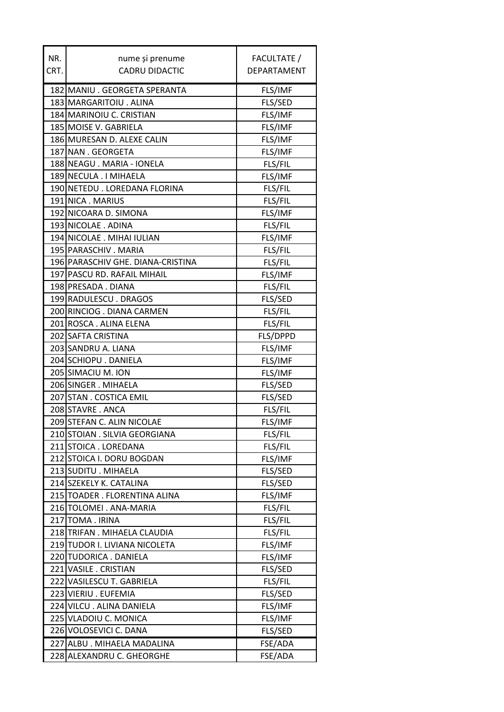| NR.  | nume și prenume                   | FACULTATE /        |
|------|-----------------------------------|--------------------|
| CRT. | <b>CADRU DIDACTIC</b>             | <b>DEPARTAMENT</b> |
|      | 182 MANIU . GEORGETA SPERANTA     | FLS/IMF            |
|      | 183 MARGARITOIU. ALINA            | FLS/SED            |
|      | 184 MARINOIU C. CRISTIAN          | FLS/IMF            |
|      | 185 MOISE V. GABRIELA             | FLS/IMF            |
|      | 186 MURESAN D. ALEXE CALIN        | FLS/IMF            |
|      | 187 NAN . GEORGETA                | FLS/IMF            |
|      | 188 NEAGU . MARIA - IONELA        | FLS/FIL            |
|      | 189 NECULA . I MIHAELA            | FLS/IMF            |
|      | 190 NETEDU . LOREDANA FLORINA     | FLS/FIL            |
|      | 191 NICA . MARIUS                 | FLS/FIL            |
|      | 192 NICOARA D. SIMONA             | FLS/IMF            |
|      | 193 NICOLAE . ADINA               | FLS/FIL            |
|      | 194 NICOLAE . MIHAI IULIAN        | FLS/IMF            |
|      | 195 PARASCHIV . MARIA             | FLS/FIL            |
|      | 196 PARASCHIV GHE. DIANA-CRISTINA | FLS/FIL            |
|      | 197 PASCU RD. RAFAIL MIHAIL       | FLS/IMF            |
|      | 198 PRESADA . DIANA               | FLS/FIL            |
|      | 199 RADULESCU. DRAGOS             | <b>FLS/SED</b>     |
|      | 200 RINCIOG . DIANA CARMEN        | FLS/FIL            |
|      | 201 ROSCA . ALINA ELENA           | FLS/FIL            |
|      | 202 SAFTA CRISTINA                | FLS/DPPD           |
|      | 203 SANDRU A. LIANA               | FLS/IMF            |
|      | 204 SCHIOPU . DANIELA             | FLS/IMF            |
|      | 205 SIMACIU M. ION                | FLS/IMF            |
|      | 206 SINGER . MIHAELA              | <b>FLS/SED</b>     |
|      | 207 STAN . COSTICA EMIL           | <b>FLS/SED</b>     |
|      | 208 STAVRE . ANCA                 | FLS/FIL            |
|      | 209 STEFAN C. ALIN NICOLAE        | FLS/IMF            |
|      | 210 STOIAN . SILVIA GEORGIANA     | FLS/FIL            |
|      | 211 STOICA . LOREDANA             | FLS/FIL            |
|      | 212 STOICA I. DORU BOGDAN         | FLS/IMF            |
|      | 213 SUDITU . MIHAELA              | FLS/SED            |
|      | 214 SZEKELY K. CATALINA           | FLS/SED            |
|      | 215 TOADER . FLORENTINA ALINA     | FLS/IMF            |
|      | 216 TOLOMEI . ANA-MARIA           | FLS/FIL            |
|      | 217 TOMA . IRINA                  | FLS/FIL            |
|      | 218 TRIFAN. MIHAELA CLAUDIA       | FLS/FIL            |
|      | 219 TUDOR I. LIVIANA NICOLETA     | FLS/IMF            |
|      | 220 TUDORICA . DANIELA            | FLS/IMF            |
|      | 221 VASILE . CRISTIAN             | FLS/SED            |
|      | 222 VASILESCU T. GABRIELA         | FLS/FIL            |
|      | 223 VIERIU . EUFEMIA              | FLS/SED            |
|      | 224 VILCU. ALINA DANIELA          | FLS/IMF            |
|      | 225 VLADOIU C. MONICA             | FLS/IMF            |
|      | 226 VOLOSEVICI C. DANA            | FLS/SED            |
|      | 227 ALBU. MIHAELA MADALINA        | FSE/ADA            |
|      | 228 ALEXANDRU C. GHEORGHE         | FSE/ADA            |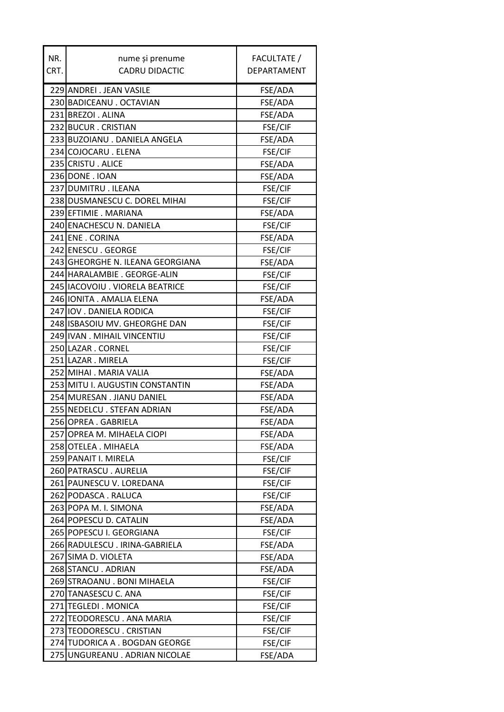| NR.  | nume și prenume                  | FACULTATE /        |
|------|----------------------------------|--------------------|
| CRT. | <b>CADRU DIDACTIC</b>            | <b>DEPARTAMENT</b> |
|      |                                  |                    |
|      | 229 ANDREI . JEAN VASILE         | FSE/ADA            |
|      | 230 BADICEANU . OCTAVIAN         | FSE/ADA            |
|      | 231 BREZOI . ALINA               | FSE/ADA            |
|      | 232 BUCUR . CRISTIAN             | FSE/CIF            |
|      | 233 BUZOIANU . DANIELA ANGELA    | FSE/ADA            |
|      | 234 COJOCARU . ELENA             | FSE/CIF            |
|      | 235 CRISTU. ALICE                | FSE/ADA            |
|      | 236 DONE . IOAN                  | FSE/ADA            |
|      | 237 DUMITRU. ILEANA              | FSE/CIF            |
|      | 238 DUSMANESCU C. DOREL MIHAI    | FSE/CIF            |
|      | 239 EFTIMIE . MARIANA            | FSE/ADA            |
|      | 240 ENACHESCU N. DANIELA         | FSE/CIF            |
|      | 241 ENE. CORINA                  | FSE/ADA            |
|      | 242 ENESCU, GEORGE               | FSE/CIF            |
|      | 243 GHEORGHE N. ILEANA GEORGIANA | FSE/ADA            |
|      | 244 HARALAMBIE . GEORGE-ALIN     | FSE/CIF            |
|      | 245 IACOVOIU. VIORELA BEATRICE   | FSE/CIF            |
|      | 246 IONITA . AMALIA ELENA        | FSE/ADA            |
|      | 247 IOV. DANIELA RODICA          | FSE/CIF            |
|      | 248 ISBASOIU MV. GHEORGHE DAN    | FSE/CIF            |
|      | 249 IVAN. MIHAIL VINCENTIU       | FSE/CIF            |
|      | 250 LAZAR . CORNEL               | FSE/CIF            |
|      | 251 LAZAR . MIRELA               | <b>FSE/CIF</b>     |
|      | 252 MIHAI . MARIA VALIA          | FSE/ADA            |
|      | 253 MITU I. AUGUSTIN CONSTANTIN  | FSE/ADA            |
|      | 254 MURESAN . JIANU DANIEL       | FSE/ADA            |
|      | 255 NEDELCU. STEFAN ADRIAN       | FSE/ADA            |
|      | 256 OPREA . GABRIELA             | FSE/ADA            |
|      | 257 OPREA M. MIHAELA CIOPI       | FSE/ADA            |
|      | 258 OTELEA . MIHAELA             | FSE/ADA            |
|      | 259 PANAIT I. MIRELA             | FSE/CIF            |
|      | 260 PATRASCU. AURELIA            | FSE/CIF            |
|      | 261   PAUNESCU V. LOREDANA       | FSE/CIF            |
|      | 262 PODASCA . RALUCA             | FSE/CIF            |
|      | 263 POPA M. I. SIMONA            | FSE/ADA            |
|      | 264 POPESCU D. CATALIN           | FSE/ADA            |
|      | 265 POPESCU I. GEORGIANA         | FSE/CIF            |
|      | 266 RADULESCU. IRINA-GABRIELA    | FSE/ADA            |
|      | 267 SIMA D. VIOLETA              | FSE/ADA            |
|      | 268 STANCU . ADRIAN              | FSE/ADA            |
|      | 269 STRAOANU . BONI MIHAELA      | FSE/CIF            |
|      | 270 TANASESCU C. ANA             | FSE/CIF            |
|      | 271 TEGLEDI . MONICA             | FSE/CIF            |
|      | 272 TEODORESCU. ANA MARIA        | FSE/CIF            |
|      | 273 TEODORESCU. CRISTIAN         | <b>FSE/CIF</b>     |
|      | 274 TUDORICA A . BOGDAN GEORGE   | FSE/CIF            |
| 275  | UNGUREANU . ADRIAN NICOLAE       | FSE/ADA            |